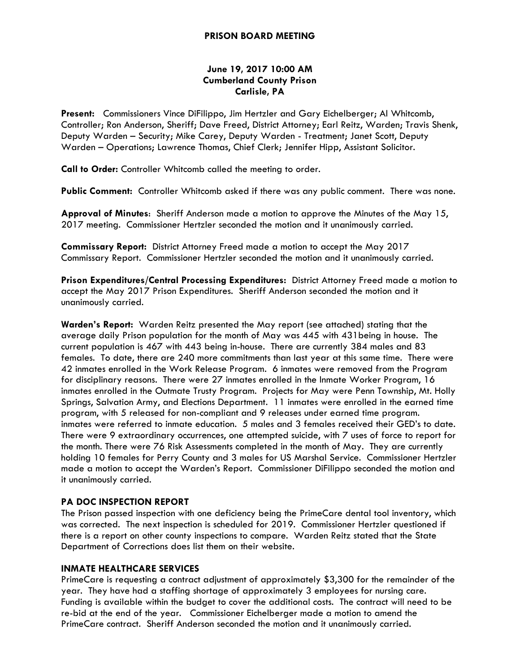### **PRISON BOARD MEETING**

## **June 19, 2017 10:00 AM Cumberland County Prison Carlisle, PA**

**Present:** Commissioners Vince DiFilippo, Jim Hertzler and Gary Eichelberger; Al Whitcomb, Controller; Ron Anderson, Sheriff; Dave Freed, District Attorney; Earl Reitz, Warden; Travis Shenk, Deputy Warden – Security; Mike Carey, Deputy Warden - Treatment; Janet Scott, Deputy Warden – Operations; Lawrence Thomas, Chief Clerk; Jennifer Hipp, Assistant Solicitor.

**Call to Order:** Controller Whitcomb called the meeting to order.

**Public Comment:** Controller Whitcomb asked if there was any public comment. There was none.

**Approval of Minutes**: Sheriff Anderson made a motion to approve the Minutes of the May 15, 2017 meeting. Commissioner Hertzler seconded the motion and it unanimously carried.

**Commissary Report:** District Attorney Freed made a motion to accept the May 2017 Commissary Report. Commissioner Hertzler seconded the motion and it unanimously carried.

**Prison Expenditures/Central Processing Expenditures:** District Attorney Freed made a motion to accept the May 2017 Prison Expenditures. Sheriff Anderson seconded the motion and it unanimously carried.

**Warden's Report:** Warden Reitz presented the May report (see attached) stating that the average daily Prison population for the month of May was 445 with 431being in house. The current population is 467 with 443 being in-house. There are currently 384 males and 83 females. To date, there are 240 more commitments than last year at this same time. There were 42 inmates enrolled in the Work Release Program. 6 inmates were removed from the Program for disciplinary reasons. There were 27 inmates enrolled in the Inmate Worker Program, 16 inmates enrolled in the Outmate Trusty Program. Projects for May were Penn Township, Mt. Holly Springs, Salvation Army, and Elections Department. 11 inmates were enrolled in the earned time program, with 5 released for non-compliant and 9 releases under earned time program. inmates were referred to inmate education. 5 males and 3 females received their GED's to date. There were 9 extraordinary occurrences, one attempted suicide, with 7 uses of force to report for the month. There were 76 Risk Assessments completed in the month of May. They are currently holding 10 females for Perry County and 3 males for US Marshal Service. Commissioner Hertzler made a motion to accept the Warden's Report. Commissioner DiFilippo seconded the motion and it unanimously carried.

# **PA DOC INSPECTION REPORT**

The Prison passed inspection with one deficiency being the PrimeCare dental tool inventory, which was corrected. The next inspection is scheduled for 2019. Commissioner Hertzler questioned if there is a report on other county inspections to compare. Warden Reitz stated that the State Department of Corrections does list them on their website.

### **INMATE HEALTHCARE SERVICES**

PrimeCare is requesting a contract adjustment of approximately \$3,300 for the remainder of the year. They have had a staffing shortage of approximately 3 employees for nursing care. Funding is available within the budget to cover the additional costs. The contract will need to be re-bid at the end of the year. Commissioner Eichelberger made a motion to amend the PrimeCare contract. Sheriff Anderson seconded the motion and it unanimously carried.